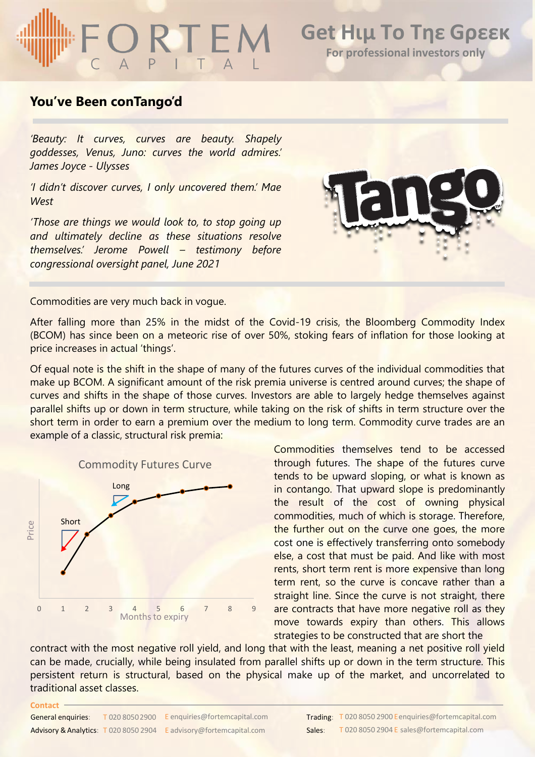# ORTEM

### **Get Ηιμ Το Τηε Gρεεκ For professional investors only**

### **You've Been conTango'd**

*'Beauty: It curves, curves are beauty. Shapely goddesses, Venus, Juno: curves the world admires.' James Joyce - Ulysses*

*'I didn't discover curves, I only uncovered them.' Mae West*

*'Those are things we would look to, to stop going up and ultimately decline as these situations resolve themselves.' Jerome Powell – testimony before congressional oversight panel, June 2021*



Commodities are very much back in vogue.

After falling more than 25% in the midst of the Covid-19 crisis, the Bloomberg Commodity Index (BCOM) has since been on a meteoric rise of over 50%, stoking fears of inflation for those looking at price increases in actual 'things'.

Of equal note is the shift in the shape of many of the futures curves of the individual commodities that make up BCOM. A significant amount of the risk premia universe is centred around curves; the shape of curves and shifts in the shape of those curves. Investors are able to largely hedge themselves against parallel shifts up or down in term structure, while taking on the risk of shifts in term structure over the short term in order to earn a premium over the medium to long term. Commodity curve trades are an example of a classic, structural risk premia:



Commodities themselves tend to be accessed through futures. The shape of the futures curve tends to be upward sloping, or what is known as in contango. That upward slope is predominantly the result of the cost of owning physical commodities, much of which is storage. Therefore, the further out on the curve one goes, the more cost one is effectively transferring onto somebody else, a cost that must be paid. And like with most rents, short term rent is more expensive than long term rent, so the curve is concave rather than a straight line. Since the curve is not straight, there are contracts that have more negative roll as they move towards expiry than others. This allows strategies to be constructed that are short the

contract with the most negative roll yield, and long that with the least, meaning a net positive roll yield can be made, crucially, while being insulated from parallel shifts up or down in the term structure. This persistent return is structural, based on the physical make up of the market, and uncorrelated to traditional asset classes.

#### General enquiries: Advisory & Analytics: T 020 8050 2904 E advisory@fortemcapital.com Sales: T 020 8050 2900 E enquiries@fortemcapital.com

**Contact**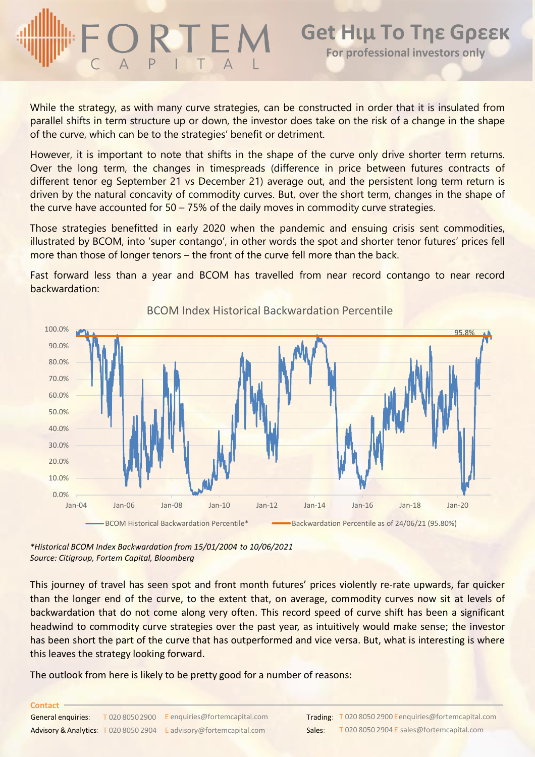## **Get Ηιμ Το Τηε Gρεεκ For professional investors only**

While the strategy, as with many curve strategies, can be constructed in order that it is insulated from parallel shifts in term structure up or down, the investor does take on the risk of a change in the shape of the curve, which can be to the strategies' benefit or detriment.

However, it is important to note that shifts in the shape of the curve only drive shorter term returns. Over the long term, the changes in timespreads (difference in price between futures contracts of different tenor eg September 21 vs December 21) average out, and the persistent long term return is driven by the natural concavity of commodity curves. But, over the short term, changes in the shape of the curve have accounted for 50 – 75% of the daily moves in commodity curve strategies.

Those strategies benefitted in early 2020 when the pandemic and ensuing crisis sent commodities, illustrated by BCOM, into 'super contango', in other words the spot and shorter tenor futures' prices fell more than those of longer tenors – the front of the curve fell more than the back.

Fast forward less than a year and BCOM has travelled from near record contango to near record backwardation:



BCOM Index Historical Backwardation Percentile

*\*Historical BCOM Index Backwardation from 15/01/2004 to 10/06/2021 Source: Citigroup, Fortem Capital, Bloomberg*

This journey of travel has seen spot and front month futures' prices violently re-rate upwards, far quicker than the longer end of the curve, to the extent that, on average, commodity curves now sit at levels of backwardation that do not come along very often. This record speed of curve shift has been a significant headwind to commodity curve strategies over the past year, as intuitively would make sense; the investor has been short the part of the curve that has outperformed and vice versa. But, what is interesting is where this leaves the strategy looking forward.

The outlook from here is likely to be pretty good for a number of reasons: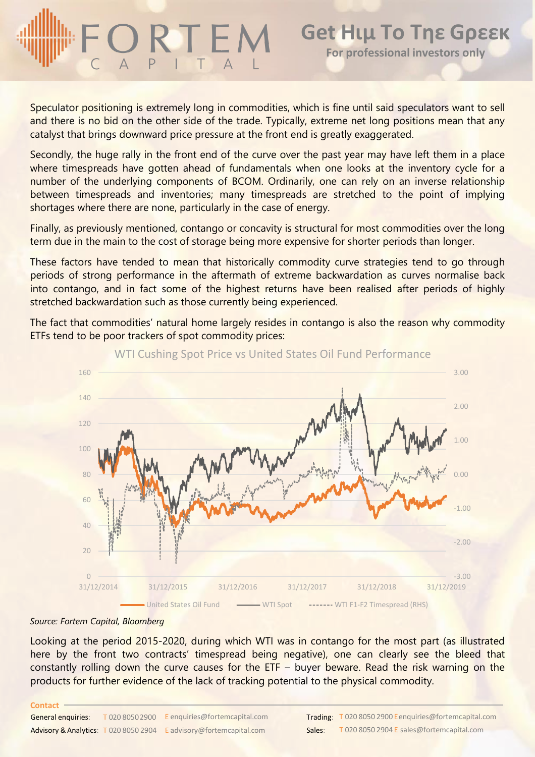## **Get Ηιμ Το Τηε Gρεεκ For professional investors only**

Speculator positioning is extremely long in commodities, which is fine until said speculators want to sell and there is no bid on the other side of the trade. Typically, extreme net long positions mean that any catalyst that brings downward price pressure at the front end is greatly exaggerated.

Secondly, the huge rally in the front end of the curve over the past year may have left them in a place where timespreads have gotten ahead of fundamentals when one looks at the inventory cycle for a number of the underlying components of BCOM. Ordinarily, one can rely on an inverse relationship between timespreads and inventories; many timespreads are stretched to the point of implying shortages where there are none, particularly in the case of energy.

Finally, as previously mentioned, contango or concavity is structural for most commodities over the long term due in the main to the cost of storage being more expensive for shorter periods than longer.

These factors have tended to mean that historically commodity curve strategies tend to go through periods of strong performance in the aftermath of extreme backwardation as curves normalise back into contango, and in fact some of the highest returns have been realised after periods of highly stretched backwardation such as those currently being experienced.

The fact that commodities' natural home largely resides in contango is also the reason why commodity ETFs tend to be poor trackers of spot commodity prices:



### WTI Cushing Spot Price vs United States Oil Fund Performance

#### *Source: Fortem Capital, Bloomberg*

Looking at the period 2015-2020, during which WTI was in contango for the most part (as illustrated here by the front two contracts' timespread being negative), one can clearly see the bleed that constantly rolling down the curve causes for the ETF – buyer beware. Read the risk warning on the products for further evidence of the lack of tracking potential to the physical commodity.

#### **Contact**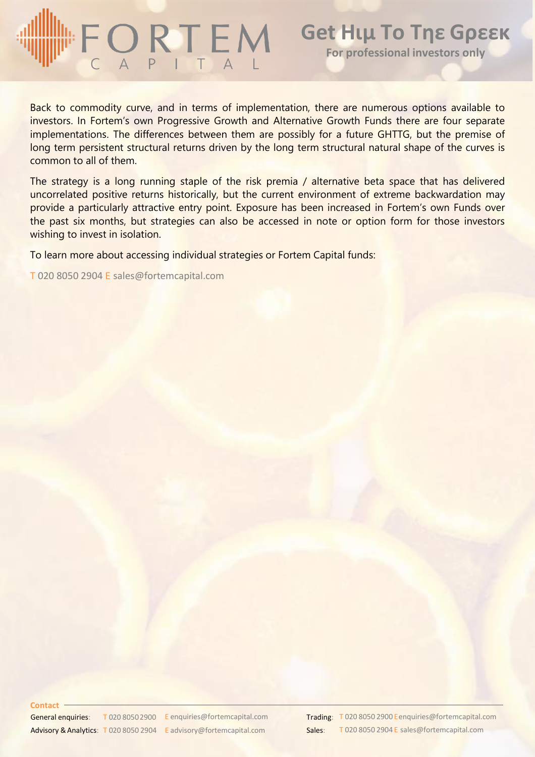# $\frac{1}{C}$  Q R T E M

Back to commodity curve, and in terms of implementation, there are numerous options available to investors. In Fortem's own Progressive Growth and Alternative Growth Funds there are four separate implementations. The differences between them are possibly for a future GHTTG, but the premise of long term persistent structural returns driven by the long term structural natural shape of the curves is common to all of them.

The strategy is a long running staple of the risk premia / alternative beta space that has delivered uncorrelated positive returns historically, but the current environment of extreme backwardation may provide a particularly attractive entry point. Exposure has been increased in Fortem's own Funds over the past six months, but strategies can also be accessed in note or option form for those investors wishing to invest in isolation.

To learn more about accessing individual strategies or Fortem Capital funds:

T 020 8050 2904 E sales@fortemcapital.com

#### **Contact**

General enquiries: Advisory & Analytics: T 020 8050 2904 E advisory@fortemcapital.com Sales: